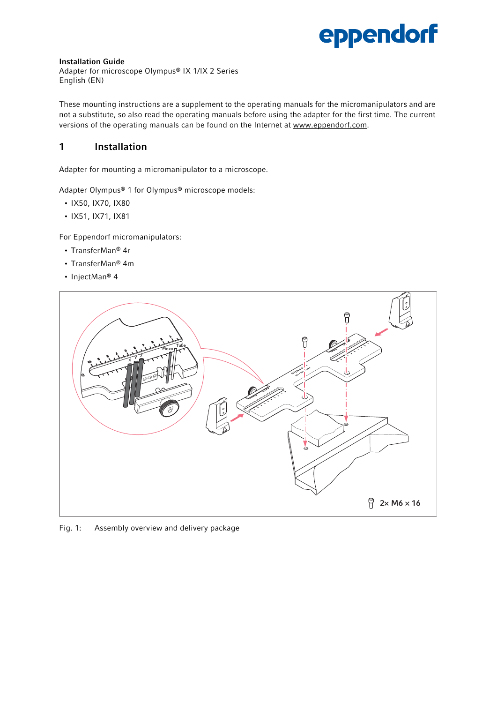# eppendorf

#### Installation Guide

Adapter for microscope Olympus® IX 1/IX 2 Series English (EN)

These mounting instructions are a supplement to the operating manuals for the micromanipulators and are not a substitute, so also read the operating manuals before using the adapter for the first time. The current versions of the operating manuals can be found on the Internet at www.eppendorf.com.

### 1 Installation

Adapter for mounting a micromanipulator to a microscope.

Adapter Olympus® 1 for Olympus® microscope models:

- IX50, IX70, IX80
- IX51, IX71, IX81

For Eppendorf micromanipulators:

- TransferMan® 4r
- TransferMan® 4m
- InjectMan® 4



Fig. 1: Assembly overview and delivery package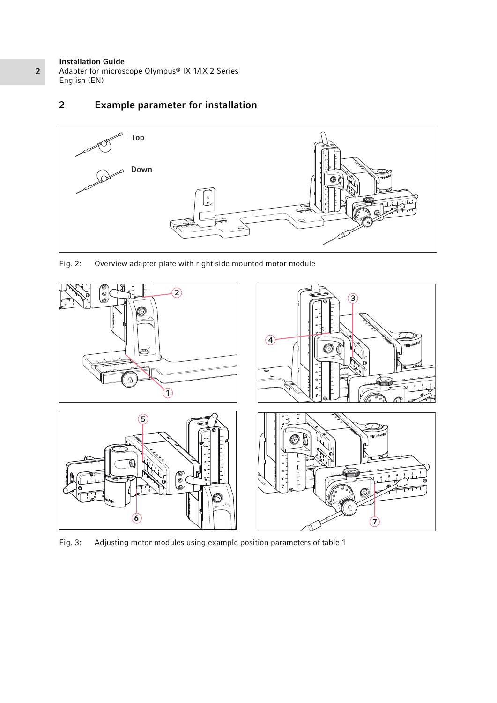#### Installation Guide

Adapter for microscope Olympus® IX 1/IX 2 Series English (EN)

## 2 Example parameter for installation



Fig. 2: Overview adapter plate with right side mounted motor module



Fig. 3: Adjusting motor modules using example position parameters of table 1

2